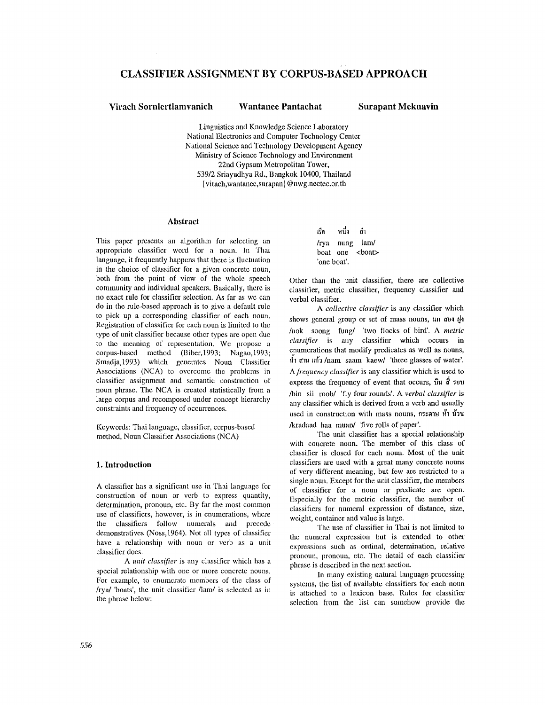# **CLASSIFIER ASSIGNMENT BY CORPUS-BASED APPROACH**

# **Virach Sornlertlamvanich Wantanee Pantachat Surapant Meknavin**

Linguistics and Knowledge Science Laboratory National Electronics and Computer Technology Center National Science and Technology Development Agency Ministry of Science Technology and Environment 22nd Gypsum Metropolitan Tower, 539/2 Sriayudbya Rd., Bangkok 10400, Thailand { virach,wantanee,surapan } @nwg.nectee.or.th

# **Abstract**

This paper presents an algorithm for selecting an appropriate classifier word for a noun. In Thai language, it frequently happens that there is fluctuation in the choice of classifier for a given concrete noun, both from the point of view of the whole speech community and individual speakers. Basically, there is no exact rule for classifier selection. As far as we can do in the rule~based approach is to give a default rule to pick up a corresponding classifier of each noun. Registration of classifier for each noun is limited to the type of unit classifier because other types are open due to the meaning of representation. We propose a corpus-based method (Biber,1993; Nagao,1993; Smadja,1993) which generates Noun Classifier Associations (NCA) to overcome the problems in classifier assignment and semantic construction of noun phrase. The NCA is created statistically from a large corpus and recomposed under concept hierarchy constraints and frequency of occurrences.

Keywords: Thai language, classifier, corpus-based method, Noun Classifier Associations (NCA)

## **1. Introduction**

A classifier has a significant use in Thai language for construction of noun or verb to express quantity, determination, pronoun, etc. By far the most common use of classifiers, however, is in enumerations, where the classifiers follow numerals and precede demonstratives (Noss,1964). Not all types of classifier have a relationship with noun or verb as a unit classifier does.

*A unit classifier* is any classifier which has a special relationship with one or more concrete nouns. For example, to enumerate members of the class of */rya/ 'boats', the unit classifier /lam/ is selected as in* the phrase below:

หนึ่ง  $\dot{a}$ เร็ก /rya nung lam/ boat one <br/>boat> 'one boat'.

Other than the unit classifier, there are collective classifier, metric classifier, frequency classifier and verbal classifier.

A collective classifier is any classifier which shows general group or set of mass nouns, un av a da /nok soong lung/ 'two flocks of bird'. A *metric classifier* is any classifier which occurs in enumerations that modify predicates as well as nouns, น้ำ สาม แก้ว /nam saam kaew/ 'three glasses of water'. *A frequency classifier* is any classifier which is used to express the frequency of event that occurs,  $\hat{u}$   $\hat{d}$  sup /bin sii roob/ 'fly four rounds'. A *verbal classifier* is any classifier which is derived from a verb and usually used in construction with mass nouns,  $n \sin \theta$   $\sin \theta$ /kradaad haa muan/ 'five rolls of paper'.

The unit classifier has a special relationship with concrete noun. The member of this class of classifier is closed for each noun. Most of the unit classifiers are used with a great many concrete nouns of very different meaning, but few are restricted to a single noun. Except for the unit classifier, the members of classifier for a noun or predicate are open. Especially for the metric classifier, the number of classifiers for numeral expression of distance, size, weight, container and value is large.

The use of classifier in Thai is not limited to the numeral expression but is extended to other expressions such as ordinal, determination, relative pronoun, pronoun, etc. The detail of each classifier phrase is described in the next section.

In many existing natural language processing systems, the list of available classifiers for each noun is attached to a lexicon base. Rules for classifier selection from the list can somehow provide the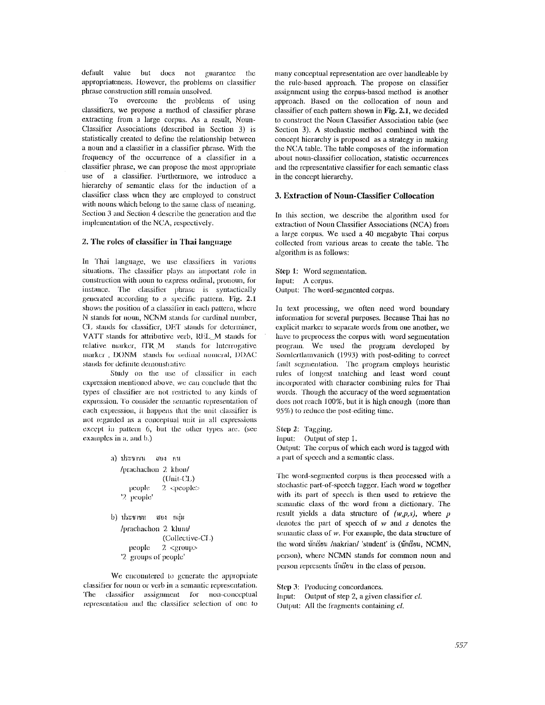default value but does not guarantee the appropriateness. However, the problems on classifier phrase construction still remain unsolved.

To overcome the problems of using classifiers, we propose a method of classifier phrase extracting from a large corpus. As a result, Noun-Classifier Associations (described in Section 3) is statistically created to define the relationship between a noun and a classifier in a classifier phrase. With the frequency of the occurrence of a classifier in a classifier phrase, we can propose the most appropriate use of a classifier. Furthermore, we introduce a hierarchy of semantic class for the induction of a classifier class when they are employed to construct with nouns which belong to the same class of meaning. Section 3 and Section 4 describe the generation and the implementation of the NCA, respectively.

#### 2. The roles of classifier in Thai language

In Thai language, we use classifiers in various situations. The classifier plays an important role in construction with noun to express ordinal, pronoun, for instance. The classifier phrase is syntactically generated according to a specific pattern. Fig. 2.1 shows the position of a classifier in each pattern, where N stands for noun, NCNM stands for cardinal number, CL stands for classifier, DET stands for determiner, VATT stands for attributive verb, REL M stands for relative marker, ITR M stands for Interrogative marker, DONM stands for ordinal numeral, DDAC stands for definite demonstrative

Study on the use of classifier in each expression mentioned above, we can conclude that the types of classifier are not restricted to any kinds of expression. To consider the semantic representation of each expression, it happens that the unit classifier is not regarded as a conceptual unit in all expressions except in pattern 6, but the other types are. (see examples in a, and b.)

| a) ประชาวน   สยง <del>ก</del> น       |
|---------------------------------------|
| /prachachon 2 khon/                   |
| $(\text{Unit-CL})$                    |
| $\text{people} = 2 < \text{people} >$ |
| $2$ people                            |
|                                       |
| b) ประชาชน - สอง - กลุ่ม              |
| /prachachon 2 klum/                   |

(Collective-CL) people  $2 <$ group> '2 groups of people'

We encountered to generate the appropriate classifier for noun or verb in a semantic representation. The classifier assignment for non-conceptual representation and the classifier selection of one to

many conceptual representation are over handleable by the rule-based approach. The propose on classifier assignment using the corpus-based method is another approach. Based on the collocation of noun and classifier of each pattern shown in Fig. 2.1, we decided to construct the Noun Classifier Association table (see Section 3). A stochastic method combined with the concept hierarchy is proposed as a strategy in making the NCA table. The table composes of the information about noun-classifier collocation, statistic occurrences and the representative classifier for each semantic class in the concept hierarchy.

# 3. Extraction of Noun-Classifier Collocation

In this section, we describe the algorithm used for extraction of Noun Classifier Associations (NCA) from a large corpus. We used a 40 megabyte Thai corpus collected from various areas to create the table. The algorithm is as follows:

Step 1: Word segmentation. Input: A corpus. Output: The word-segmented corpus.

In text processing, we often need word boundary information for several purposes. Because Thai has no explicit marker to separate words from one another, we have to preprocess the corpus with word segmentation program. We used the program developed by Sornlertlamvanich (1993) with post-editing to correct fault segmentation. The program employs heuristic rules of longest matching and least word count incorporated with character combining rules for Thai words. Though the accuracy of the word segmentation does not reach 100%, but it is high enough (more than 95%) to reduce the post-editing time.

Step 2: Tagging.

Input: Output of step 1.

Output: The corpus of which each word is tagged with a part of speech and a semantic class.

The word-segmented corpus is then processed with a stochastic part-of-speech tagger. Each word w together with its part of speech is then used to retrieve the semantic class of the word from a dictionary. The result yields a data structure of  $(w, p, s)$ , where p denotes the part of speech of  $w$  and  $s$  denotes the semantic class of w. For example, the data structure of the word นักเรียน /nakrian/ 'student' is (นักเรียน, NCMN, person), where NCMN stands for common noun and person represents unifou in the class of person.

Step 3: Producing concordances. Input: Output of step 2, a given classifier cl. Output: All the fragments containing cl.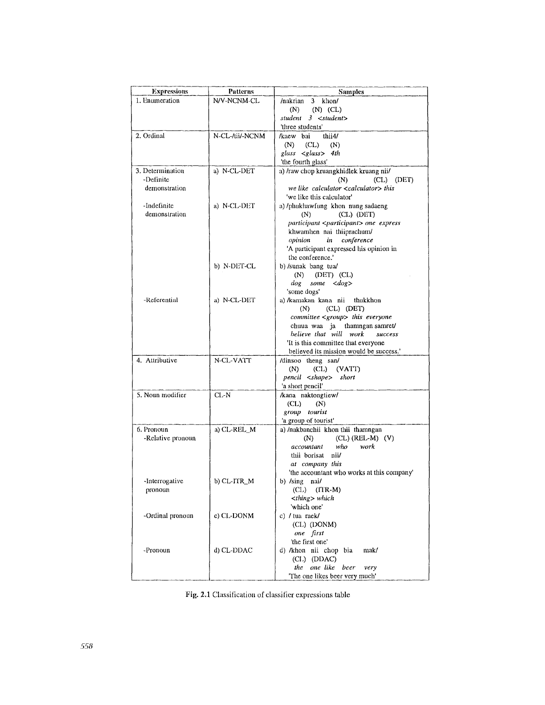| <b>Expressions</b>             | <b>Patterns</b> | <b>Samples</b>                                      |
|--------------------------------|-----------------|-----------------------------------------------------|
| 1. Enumeration                 | N/V-NCNM-CL     | /nakrian 3 khon/                                    |
|                                |                 | (N)<br>$(N)$ $(CL)$                                 |
|                                |                 | student 3 <student></student>                       |
|                                |                 | 'three students'                                    |
| 2. Ordinal                     | N-CL-/tii/-NCNM | /kacw bai<br>thii4/                                 |
|                                |                 | $CL$ )<br>(N)<br>(N)                                |
|                                |                 | glass <glass> 4th</glass>                           |
|                                |                 | 'the fourth glass'                                  |
| 3. Determination               | a) N-CL-DET     | a) /raw chop kruangkhidlek kruang nii/              |
| -Definite                      |                 | $(CL)$ $(DEF)$<br>(N)                               |
| demonstration                  |                 | we like calculator <calculator> this</calculator>   |
|                                |                 | 'we like this calculator'                           |
| -Indefinite                    | a) N-CL-DET     | a) /phukhawfung khon nung sadaeng                   |
| demonstration                  |                 | (CL) (DET)<br>(N)                                   |
|                                |                 | participant <participant> one express</participant> |
|                                |                 | khwamhen nai thiiprachum/                           |
|                                |                 | conference<br>opinion<br>in                         |
|                                |                 | 'A participant expressed his opinion in             |
|                                | b) N-DET-CL     | the conference.'<br>b) /sunak bang tua/             |
|                                |                 | $(DET)$ $(CL)$<br>(N)                               |
|                                |                 | some <dog><br/>dog</dog>                            |
|                                |                 | 'some dogs'                                         |
| -Referential                   | a) N-CL-DET     | a) /kamakan kana nii thukkhon                       |
|                                |                 | $(CL)$ $(DET)$<br>(N)                               |
|                                |                 | committee <group> this everyone</group>             |
|                                |                 | chuua waa ja thamngan samret/                       |
|                                |                 | believe that will work<br>success                   |
|                                |                 | It is this committee that everyone                  |
|                                |                 | believed its mission would be success.'             |
| 4. Attributive                 | N-CL-VATT       | /dinsoo theng san/                                  |
|                                |                 | $CL$ )<br>(N)<br>(VATT)                             |
|                                |                 | pencil <shape><br/>short</shape>                    |
| 5. Noun modifier               | $CL-N$          | 'a short pencil'                                    |
|                                |                 | /kana naktongtiew/<br>$CL$ )<br>(N)                 |
|                                |                 | group tourist                                       |
|                                |                 | 'a group of tourist'                                |
| 6. Pronoun                     | a) CL-REL M     | a) /nakbanchii khon thii thamngan                   |
| -Relative pronoun              |                 | $(CL)$ $(REL-M)$ $(V)$<br>(N)                       |
|                                |                 | who<br>work<br>accountant                           |
|                                |                 | thii borisat<br>nii/                                |
|                                |                 | at company this                                     |
|                                |                 | 'the accountant who works at this company'          |
| -Interrogative                 | b) CL-ITR_M     | b) /sing nai/                                       |
| pronoun                        |                 | $(CL)$ $(TR-M)$                                     |
|                                |                 | $\n<$ thing $\n>$ which                             |
|                                |                 | 'which one'                                         |
| -Ordinal pronoun<br>c) CL-DONM |                 | c) / tua_raek/                                      |
|                                |                 | (CL) (DONM)                                         |
|                                |                 | one first                                           |
|                                |                 | 'the first one'<br>mak/                             |
| -Pronoun                       | d) CL-DDAC      | d) /khon nii chop bia<br>(CL) (DDAC)                |
|                                |                 | the one like beer<br>very                           |
|                                |                 | "The one likes beer very much"                      |
|                                |                 |                                                     |

Fig. 2.1 Classification of classifier expressions table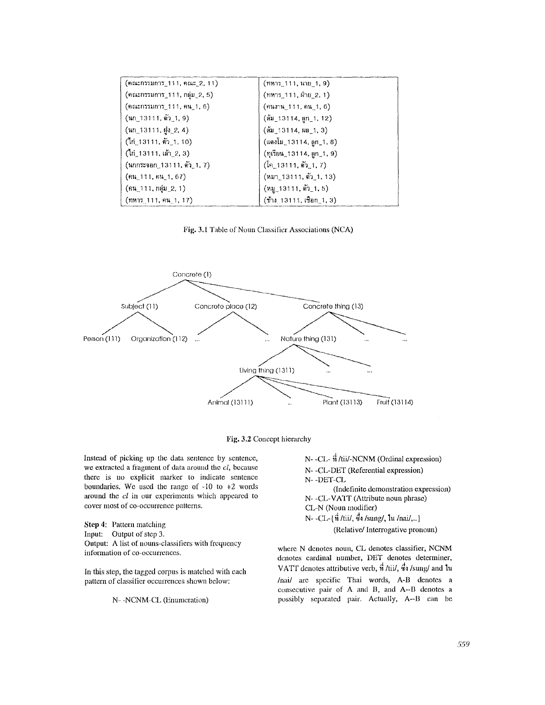| (คณะกรรมการ_111, คณะ_2, 11)                     | $(mn_1, 111, m_2, 1, 9)$                               |
|-------------------------------------------------|--------------------------------------------------------|
| (คณะกรรมการ 111, กลุ่ม 2, 5)                    | $(mm_2, 111, 4m_2, 1)$                                 |
| $(nu$ ะกรรมการ 111, คน 1, 6)                    | (nu, 111, nu, 1, 6)                                    |
| $(\text{un}_1 13111, \tilde{\text{nn}}_1 1, 9)$ | $(\tilde{au}_13114, \tilde{g}n_1, 12)$                 |
| $(\text{un}_13111, \text{u}_22, 4)$             | $(\widetilde{m}$ 13114, $\overline{m}$ 1, 3)           |
| $(\ln 13111, \tilde{n}_1, 10)$                  | $(\text{unolu}_13114, \text{gn}_1, 8)$                 |
| $(\ln 13111, \ln 2, 3)$                         | (ทุเวียน_13114, ลูก_1, 9)                              |
| (นกกระจอก 13111, ตัว 1, 7)                      | $(\mathfrak{b}_1 13111, \mathfrak{b}_1 1, 7)$          |
| $(nu_111, nu_1, 67)$                            | (หมา_13111, ตัว_1, 13)                                 |
| $(nu_111, ndu_2, 1)$                            | $(M_4-13111, m-1, 5)$                                  |
| $(nn\pi, 111, n\pi, 17)$                        | $(\mathbb{I} \setminus 13111, \mathbb{I} \setminus 3)$ |

Fig. 3.1 Table of Noun Classifier Associations (NCA)



Fig. 3.2 Concept hierarchy

Instead of picking up the data sentence by sentence, we extracted a fragment of data around the cl, because there is no explicit marker to indicate sentence boundaries. We used the range of  $-10$  to  $+2$  words around the cl in our experiments which appeared to cover most of co-occurrence patterns.

Step 4: Pattern matching Input: Output of step 3. Output: A list of nouns-classifiers with frequency information of co-occurrences.

In this step, the tagged corpus is matched with each pattern of classifier occurrences shown below:

N--NCNM-CL (Enumeration)

 $N$ - -CL- $\vec{\eta}$ /tii/-NCNM (Ordinal expression) N- -CL-DET (Referential expression) N--DET-CL

(Indefinite demonstration expression) N- -CL-VATT (Attribute noun phrase) CL-N (Noun modifier)

N- -CL-{ $\vec{\mathbf{n}}$  /tii/,  $\vec{\mathbf{w}}$  /sung/, lu /nai/,..}

(Relative/Interrogative pronoun)

where N denotes noun, CL denotes classifier, NCNM denotes cardinal number, DET denotes determiner, VATT denotes attributive verb,  $\vec{\mathfrak{n}}$  /tii/,  $\vec{\mathfrak{n}}$  /sung/ and lu /nai/ are specific Thai words, A-B denotes a consecutive pair of A and B, and A--B denotes a possibly separated pair. Actually, A--B can be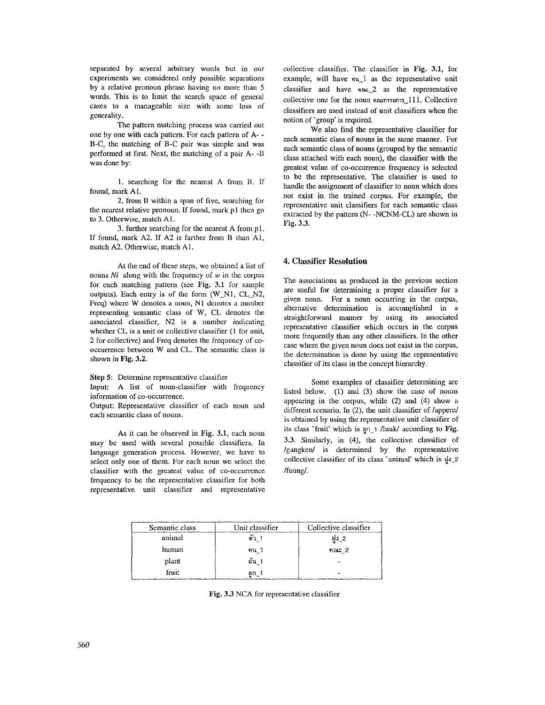separated by several arbitrary words but in our experiments we considered only possible separations by a relative pronoun phrase having no more than 5 words. This is to limit the search space of general cases to a manageable size with some loss of generality.

The pattern matching process was carried out one by one with each pattern. For each pattern of A- - B-C, the matching of B-C pair was simple and was performed at first. Next, the matching of a pair A- -B was done by:

1. searching for the nearest A from B. If found, mark AI.

2. from B within a span of five, searching for the nearest relative pronoun. If found, mark pl then go to 3. Otherwise, match A1.

3. further searching for the nearest A from p1. If found, mark A2. If A2 is farther from B than A1, match A2. Otherwise, match A I.

At the end of these steps, we obtained a list of nouns *Ni* along with the frequency of w in the corpus for each matching pattern (see Fig. 3.1 for sample outputs). Each entry is of the form  $(W_N, N1, CL_N, N2)$ , Freq) where W denotes a noun, N1 denotes a number representing semantic class of W, CL denotes the associated classifier, N2 is a number indicating whether CL is a unit or collective classifier (1 for unit, 2 for collective) and Freq denotes the frequency of cooccurrence between W and CL. The semantic class is shown in Fig. 3.2.

Step 5: Determine representative classifier

Input: A list of noun-classifier with frequency information of co-occurrence.

Output: Representative classifier of each noun and each semantic class of nouns.

As it can be observed in Fig. 3.1, each noun may be used with several possible classifiers. In language generation process. However, we have to select only one of them. For each noun we select the classifier with the greatest value of co-occurrence frequency to be the representative classifier for both representative unit classifier and representative

collective classifier. The classifier in Fig. 3.1, for example, will have  $n\nu$ <sup>1</sup> as the representative unit classifier and have  $n\omega$  as the representative collective one for the noun nummanry 111. Collective classifiers are used instead of unit classifiers when the notion of "group' is required.

We also find the representative classifier for each semantic class of nouns in the same manner. For each semantic class of nouns (grouped by the semantic class attached with each noun), the classifier with the greatest value of co-occurrence frequency is selected to be the representative. The classifier is used to handle the assignment of classifier to noun which does not exist in the trained corpus. For example, the representative unit classifiers for each semantic class extracted by the pattern (N- -NCNM-CL) are shown in Fig. 3.3.

#### 4. Classifier Resolution

The associations as produced in the previous section are useful for determining a proper classifier for a given noun. For a noun occurring in the corpus, alternative determination is accomplished in a straightforward manner by using its associated representative classifier which occurs in the corpus more frequently than any other classifiers. In the other case where the given noun does not exist in the corpus, the determination is done by using the representative classifier of its class in the concept hierarchy.

Some examples of classifier determining are listed below. (1) and (3) show the case of nouns appearing in the corpus, while (2) and (4) show a different scenario. In (2), the unit classifier of /appern/ is obtained by using the representative unit classifier of its class 'fruit' which is an\_1 /luuk/ according to Fig. 3.3. Similarly, in (4), the collective classifier of /gangkerd is determined by the representative collective classifier of its class 'animal' which is  $\frac{1}{2}$ ? /fuung/.

| Semantic class | Unit classifier | Collective classifier |
|----------------|-----------------|-----------------------|
| animal         | ี่ตัว_1         | ฟง 2                  |
| human          | ทน 1            | คณะ 2                 |
| plant          | ี่ต้น 1         | -                     |
| fruit          |                 |                       |

Fig. 3.3 NCA for representative classifier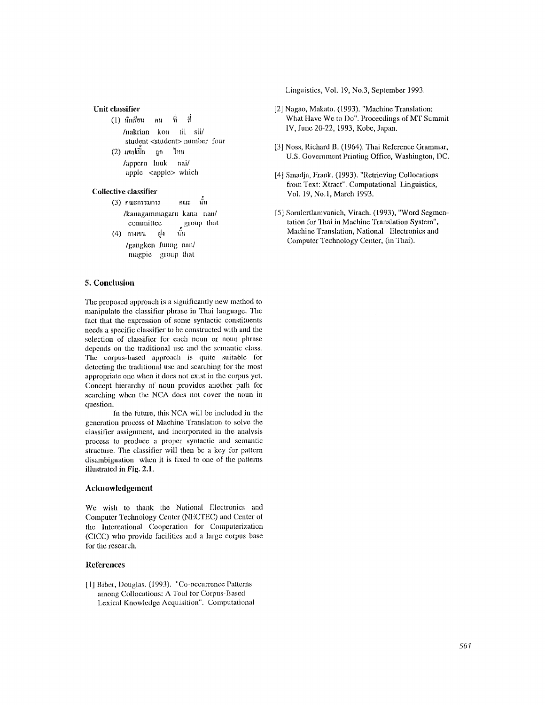#### **Unit** classifier

- ่ที่ ंते  $(1)$  นักเรียน คน /nakrian kon tii sii/ student <student> number four
- (2) แยปเปิ้ล = ลูก = ไหน /appern luuk nail apple <apple> which

#### Collective classifier

- (3) **~ul:n~m~ ~ut.~** un /kanagammagarn kana *nan/*  committee . group that
- $(4)$   $m$ -uu  $n$   $\frac{1}{2}$   $n \infty$ /gangken fuung nan/ magpie group that

# 5. Conclusion

The proposed approach is a significantly new method to manipulate the classifier phrase in Thai language. The fact that the expression of some syntactic constituents needs a specific classifier to be constructed with and the selection of classifier for each noun or noun phrase depends on the traditional use and the semantic class. The corpus-based approach is quite suitable for detecting the traditional use and searching for the most appropriate one when it does not exist in the corpus yet. Concept hierarchy of noun provides another path for searching when the NCA does not cover the noun in question.

In the future, this NCA will be included in the generation process of Machine Translation to solve the classifier assignment, and incorporated in the analysis process to produce a proper syntactic and semantic structure. The classifier will then be a key for pattern disambiguation when it is fixed to one of the patterns illustrated in **Fig. 2.1.** 

#### Acknowledgement

We wish to thank the National Electronics and Computer Technology Center (NECTEC) and Center of the International Cooperation for Computerization (CICC) who provide facilities and a large corpus base for the research.

## References

[1] Biber, Douglas. (1993). "Co-occurrence Patterns among Collocations: A Tool for Corpus-Based Lexical Knowledge Acquisition". Computational Linguistics, Vol. 19, No.3, September 1993.

- [2] Nagao, Makato. (1993). "Machine Translation: What Have We to Do". Proceedings of MT Summit IV, June 20-22, 1993, Kobe, Japan.
- [3] Noss, Richard B. (1964). Thai Reference Grammar, U.S. Oovermnent Printing Office, Washington, DC.
- [4] Smadja, Frank. (1993). "Retrieving Collocations from Text: Xtract". Computational Linguistics, Vol. 19, No.l, March 1993.
- [51 Sornlerthmwanich, Virach. (1993), "Word Segmen= tation for Thai in Machine Translation System", Machine Translation, National Electronics and Computer Teclmology Center, (in Thai).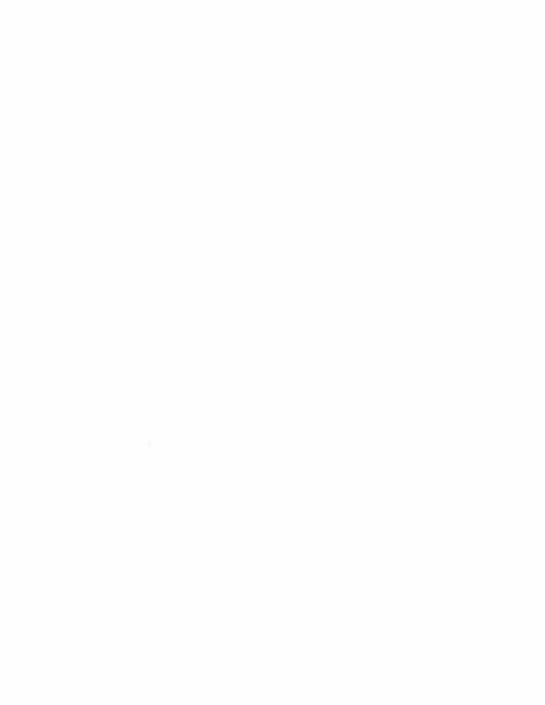$\label{eq:2.1} \frac{1}{\sqrt{2}}\int_{0}^{\infty}\frac{1}{\sqrt{2\pi}}\left(\frac{1}{\sqrt{2\pi}}\right)^{2\alpha} \frac{1}{\sqrt{2\pi}}\int_{0}^{\infty}\frac{1}{\sqrt{2\pi}}\left(\frac{1}{\sqrt{2\pi}}\right)^{\alpha} \frac{1}{\sqrt{2\pi}}\frac{1}{\sqrt{2\pi}}\int_{0}^{\infty}\frac{1}{\sqrt{2\pi}}\frac{1}{\sqrt{2\pi}}\frac{1}{\sqrt{2\pi}}\frac{1}{\sqrt{2\pi}}\frac{1}{\sqrt{2\pi}}\frac{1}{\sqrt{2\pi}}$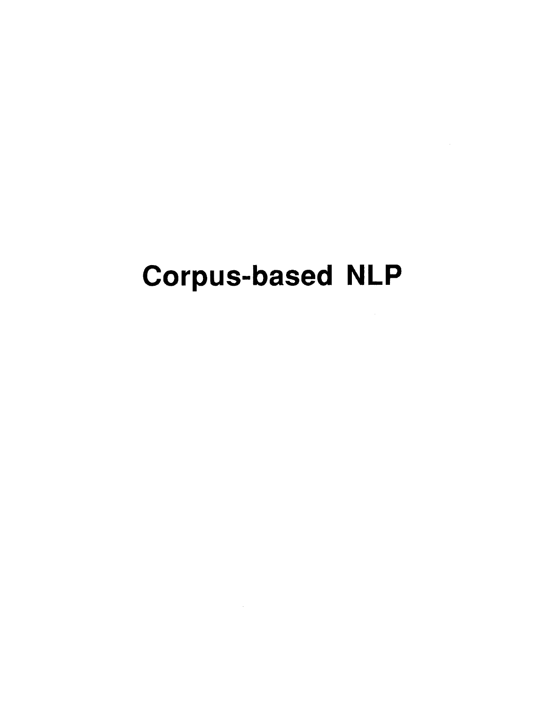# Corpus-based NLP